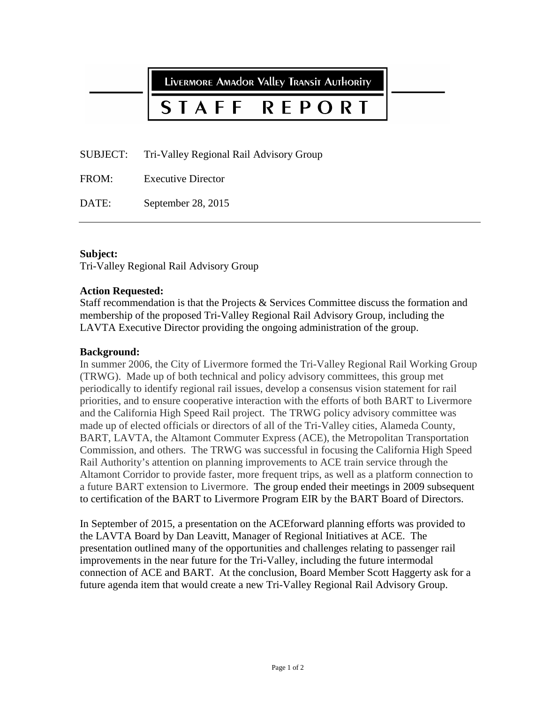**LIVERMORE AMADOR VALLEY TRANSIT AUTHORITY** 

#### STAFF PO<sub>1</sub> R F R T

SUBJECT: Tri-Valley Regional Rail Advisory Group

FROM: Executive Director

DATE: September 28, 2015

## **Subject:**

Tri-Valley Regional Rail Advisory Group

# **Action Requested:**

Staff recommendation is that the Projects  $\&$  Services Committee discuss the formation and membership of the proposed Tri-Valley Regional Rail Advisory Group, including the LAVTA Executive Director providing the ongoing administration of the group.

### **Background:**

In summer 2006, the City of Livermore formed the Tri-Valley Regional Rail Working Group (TRWG). Made up of both technical and policy advisory committees, this group met periodically to identify regional rail issues, develop a consensus vision statement for rail priorities, and to ensure cooperative interaction with the efforts of both BART to Livermore and the California High Speed Rail project. The TRWG policy advisory committee was made up of elected officials or directors of all of the Tri-Valley cities, Alameda County, BART, LAVTA, the Altamont Commuter Express (ACE), the Metropolitan Transportation Commission, and others. The TRWG was successful in focusing the California High Speed Rail Authority's attention on planning improvements to ACE train service through the Altamont Corridor to provide faster, more frequent trips, as well as a platform connection to a future BART extension to Livermore. The group ended their meetings in 2009 subsequent to certification of the BART to Livermore Program EIR by the BART Board of Directors.

In September of 2015, a presentation on the ACEforward planning efforts was provided to the LAVTA Board by Dan Leavitt, Manager of Regional Initiatives at ACE. The presentation outlined many of the opportunities and challenges relating to passenger rail improvements in the near future for the Tri-Valley, including the future intermodal connection of ACE and BART. At the conclusion, Board Member Scott Haggerty ask for a future agenda item that would create a new Tri-Valley Regional Rail Advisory Group.